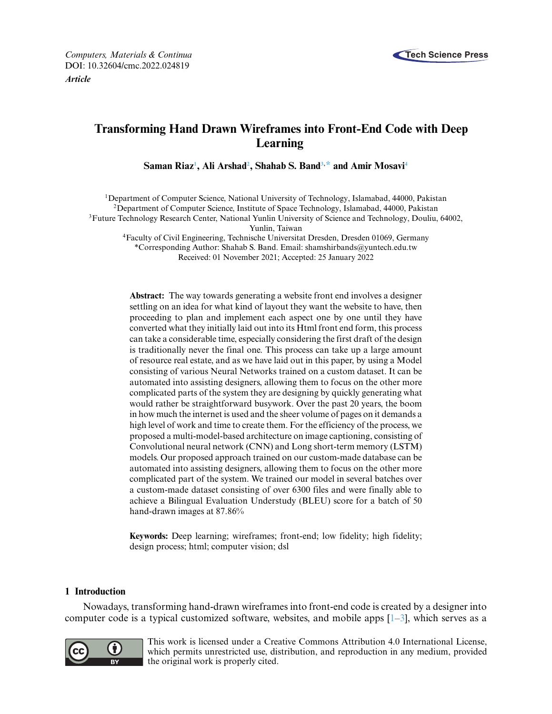

# **Transforming Hand Drawn Wireframes into Front-End Code with Deep Learning**

 $\boldsymbol{\mathrm{Saman}}$  Riaz<sup>1</sup>, Ali Arshad<sup>2</sup>, Shahab S. Band<sup>3,[\\*](#page-0-2)</sup> and Amir Mosavi<sup>4</sup>

<span id="page-0-3"></span><span id="page-0-0"></span><sup>1</sup>Department of Computer Science, National University of Technology, Islamabad, 44000, Pakistan <sup>2</sup>Department of Computer Science, Institute of Space Technology, Islamabad, 44000, Pakistan 3Future Technology Research Center, National Yunlin University of Science and Technology, Douliu, 64002, Yunlin, Taiwan 4Faculty of Civil Engineering, Technische Universitat Dresden, Dresden 01069, Germany

<span id="page-0-2"></span><span id="page-0-1"></span>\*Corresponding Author: Shahab S. Band. Email: [shamshirbands@yuntech.edu.tw](mailto:shamshirbands@yuntech.edu.tw) Received: 01 November 2021; Accepted: 25 January 2022

**Abstract:** The way towards generating a website front end involves a designer settling on an idea for what kind of layout they want the website to have, then proceeding to plan and implement each aspect one by one until they have converted what they initially laid out into its Html front end form, this process can take a considerable time, especially considering the first draft of the design is traditionally never the final one. This process can take up a large amount of resource real estate, and as we have laid out in this paper, by using a Model consisting of various Neural Networks trained on a custom dataset. It can be automated into assisting designers, allowing them to focus on the other more complicated parts of the system they are designing by quickly generating what would rather be straightforward busywork. Over the past 20 years, the boom in how much the internet is used and the sheer volume of pages on it demands a high level of work and time to create them. For the efficiency of the process, we proposed a multi-model-based architecture on image captioning, consisting of Convolutional neural network (CNN) and Long short-term memory (LSTM) models. Our proposed approach trained on our custom-made database can be automated into assisting designers, allowing them to focus on the other more complicated part of the system. We trained our model in several batches over a custom-made dataset consisting of over 6300 files and were finally able to achieve a Bilingual Evaluation Understudy (BLEU) score for a batch of 50 hand-drawn images at 87.86%

**Keywords:** Deep learning; wireframes; front-end; low fidelity; high fidelity; design process; html; computer vision; dsl

## **1 Introduction**

Nowadays, transforming hand-drawn wireframes into front-end code is created by a designer into computer code is a typical customized software, websites, and mobile apps  $[1-3]$  $[1-3]$ , which serves as a



This work is licensed under a Creative Commons Attribution 4.0 International License, which permits unrestricted use, distribution, and reproduction in any medium, provided the original work is properly cited.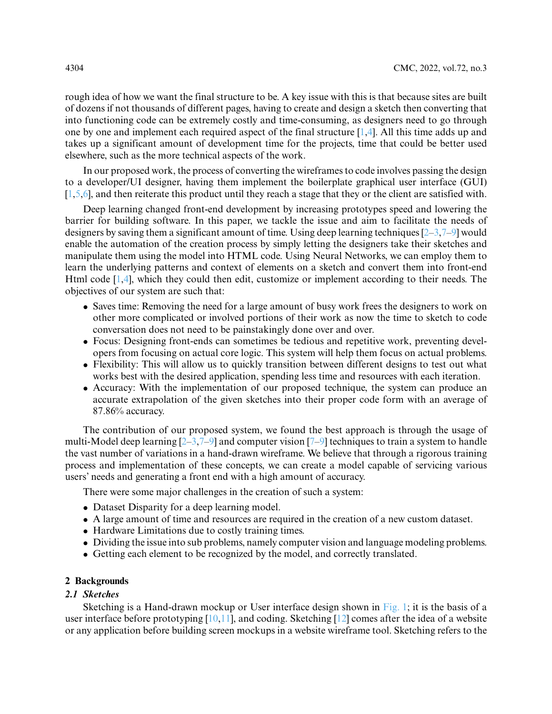rough idea of how we want the final structure to be. A key issue with this is that because sites are built of dozens if not thousands of different pages, having to create and design a sketch then converting that into functioning code can be extremely costly and time-consuming, as designers need to go through one by one and implement each required aspect of the final structure [\[1](#page-16-0)[,4\]](#page-16-2). All this time adds up and takes up a significant amount of development time for the projects, time that could be better used elsewhere, such as the more technical aspects of the work.

In our proposed work, the process of converting the wireframes to code involves passing the design to a developer/UI designer, having them implement the boilerplate graphical user interface (GUI)  $[1,5,6]$  $[1,5,6]$  $[1,5,6]$ , and then reiterate this product until they reach a stage that they or the client are satisfied with.

Deep learning changed front-end development by increasing prototypes speed and lowering the barrier for building software. In this paper, we tackle the issue and aim to facilitate the needs of designers by saving them a significant amount of time. Using deep learning techniques [\[2–](#page-16-5)[3,](#page-16-1)[7–](#page-16-6)[9\]](#page-16-7) would enable the automation of the creation process by simply letting the designers take their sketches and manipulate them using the model into HTML code. Using Neural Networks, we can employ them to learn the underlying patterns and context of elements on a sketch and convert them into front-end Html code [\[1](#page-16-0)[,4\]](#page-16-2), which they could then edit, customize or implement according to their needs. The objectives of our system are such that:

- Saves time: Removing the need for a large amount of busy work frees the designers to work on other more complicated or involved portions of their work as now the time to sketch to code conversation does not need to be painstakingly done over and over.
- Focus: Designing front-ends can sometimes be tedious and repetitive work, preventing developers from focusing on actual core logic. This system will help them focus on actual problems.
- Flexibility: This will allow us to quickly transition between different designs to test out what works best with the desired application, spending less time and resources with each iteration.
- Accuracy: With the implementation of our proposed technique, the system can produce an accurate extrapolation of the given sketches into their proper code form with an average of 87.86% accuracy.

The contribution of our proposed system, we found the best approach is through the usage of multi-Model deep learning  $[2-3,7-9]$  $[2-3,7-9]$  $[2-3,7-9]$  $[2-3,7-9]$  and computer vision  $[7-9]$  $[7-9]$  techniques to train a system to handle the vast number of variations in a hand-drawn wireframe. We believe that through a rigorous training process and implementation of these concepts, we can create a model capable of servicing various users' needs and generating a front end with a high amount of accuracy.

There were some major challenges in the creation of such a system:

- Dataset Disparity for a deep learning model.
- A large amount of time and resources are required in the creation of a new custom dataset.
- Hardware Limitations due to costly training times.
- Dividing the issue into sub problems, namely computer vision and language modeling problems.
- Getting each element to be recognized by the model, and correctly translated.

## **2 Backgrounds**

## *2.1 Sketches*

Sketching is a Hand-drawn mockup or User interface design shown in [Fig. 1;](#page-2-0) it is the basis of a user interface before prototyping [\[10,](#page-16-8)[11\]](#page-16-9), and coding. Sketching [\[12\]](#page-16-10) comes after the idea of a website or any application before building screen mockups in a website wireframe tool. Sketching refers to the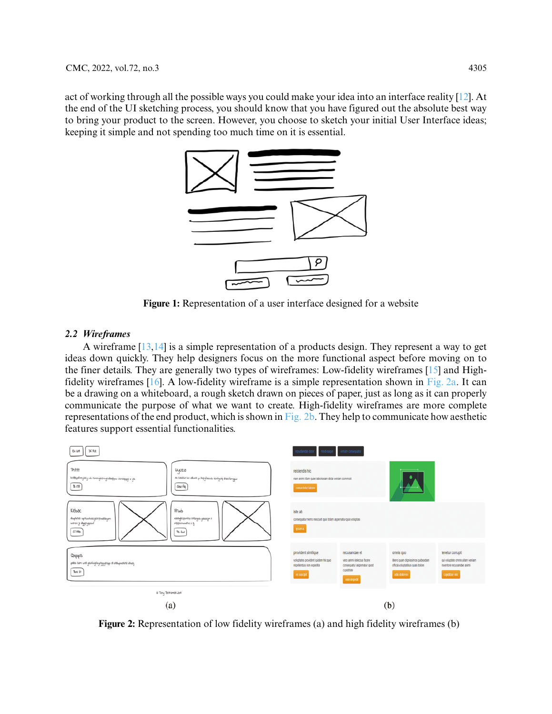act of working through all the possible ways you could make your idea into an interface reality [\[12\]](#page-16-10). At the end of the UI sketching process, you should know that you have figured out the absolute best way to bring your product to the screen. However, you choose to sketch your initial User Interface ideas; keeping it simple and not spending too much time on it is essential.



**Figure 1:** Representation of a user interface designed for a website

## <span id="page-2-0"></span>*2.2 Wireframes*

A wireframe [\[13](#page-16-11)[,14\]](#page-16-12) is a simple representation of a products design. They represent a way to get ideas down quickly. They help designers focus on the more functional aspect before moving on to the finer details. They are generally two types of wireframes: Low-fidelity wireframes [\[15\]](#page-16-13) and High-fidelity wireframes [\[16\]](#page-16-14). A low-fidelity wireframe is a simple representation shown in [Fig. 2a.](#page-2-1) It can be a drawing on a whiteboard, a rough sketch drawn on pieces of paper, just as long as it can properly communicate the purpose of what we want to create. High-fidelity wireframes are more complete representations of the end product, which is shown in [Fig. 2b.](#page-2-1) They help to communicate how aesthetic features support essential functionalities.



<span id="page-2-1"></span>**Figure 2:** Representation of low fidelity wireframes (a) and high fidelity wireframes (b)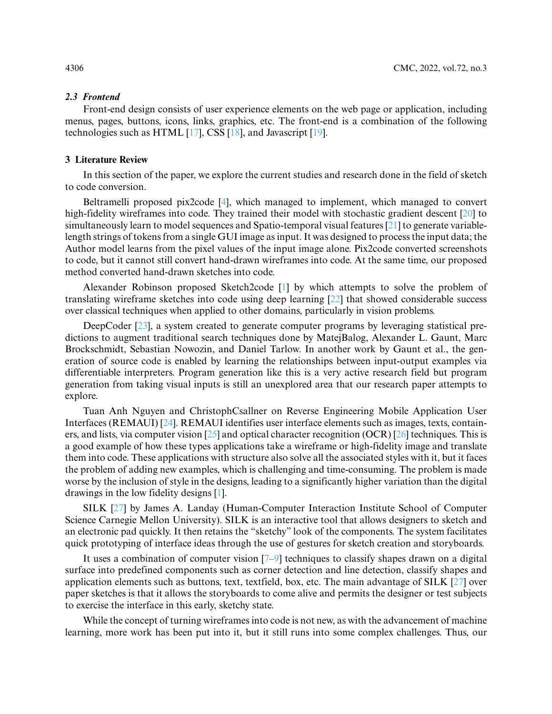#### *2.3 Frontend*

Front-end design consists of user experience elements on the web page or application, including menus, pages, buttons, icons, links, graphics, etc. The front-end is a combination of the following technologies such as HTML [\[17\]](#page-16-15), CSS [\[18\]](#page-16-16), and Javascript [\[19\]](#page-16-17).

## **3 Literature Review**

In this section of the paper, we explore the current studies and research done in the field of sketch to code conversion.

Beltramelli proposed pix2code [\[4\]](#page-16-2), which managed to implement, which managed to convert high-fidelity wireframes into code. They trained their model with stochastic gradient descent [\[20\]](#page-16-18) to simultaneously learn to model sequences and Spatio-temporal visual features [\[21\]](#page-16-19) to generate variablelength strings of tokens from a single GUI image as input. It was designed to process the input data; the Author model learns from the pixel values of the input image alone. Pix2code converted screenshots to code, but it cannot still convert hand-drawn wireframes into code. At the same time, our proposed method converted hand-drawn sketches into code.

Alexander Robinson proposed Sketch2code [\[1\]](#page-16-0) by which attempts to solve the problem of translating wireframe sketches into code using deep learning [\[22\]](#page-17-0) that showed considerable success over classical techniques when applied to other domains, particularly in vision problems.

DeepCoder [\[23\]](#page-17-1), a system created to generate computer programs by leveraging statistical predictions to augment traditional search techniques done by MatejBalog, Alexander L. Gaunt, Marc Brockschmidt, Sebastian Nowozin, and Daniel Tarlow. In another work by Gaunt et al., the generation of source code is enabled by learning the relationships between input-output examples via differentiable interpreters. Program generation like this is a very active research field but program generation from taking visual inputs is still an unexplored area that our research paper attempts to explore.

Tuan Anh Nguyen and ChristophCsallner on Reverse Engineering Mobile Application User Interfaces (REMAUI) [\[24\]](#page-17-2). REMAUI identifies user interface elements such as images, texts, containers, and lists, via computer vision [\[25\]](#page-17-3) and optical character recognition (OCR) [\[26\]](#page-17-4) techniques. This is a good example of how these types applications take a wireframe or high-fidelity image and translate them into code. These applications with structure also solve all the associated styles with it, but it faces the problem of adding new examples, which is challenging and time-consuming. The problem is made worse by the inclusion of style in the designs, leading to a significantly higher variation than the digital drawings in the low fidelity designs [\[1\]](#page-16-0).

SILK [\[27\]](#page-17-5) by James A. Landay (Human-Computer Interaction Institute School of Computer Science Carnegie Mellon University). SILK is an interactive tool that allows designers to sketch and an electronic pad quickly. It then retains the "sketchy" look of the components. The system facilitates quick prototyping of interface ideas through the use of gestures for sketch creation and storyboards.

It uses a combination of computer vision [\[7](#page-16-6)[–9\]](#page-16-7) techniques to classify shapes drawn on a digital surface into predefined components such as corner detection and line detection, classify shapes and application elements such as buttons, text, textfield, box, etc. The main advantage of SILK [\[27\]](#page-17-5) over paper sketches is that it allows the storyboards to come alive and permits the designer or test subjects to exercise the interface in this early, sketchy state.

While the concept of turning wireframes into code is not new, as with the advancement of machine learning, more work has been put into it, but it still runs into some complex challenges. Thus, our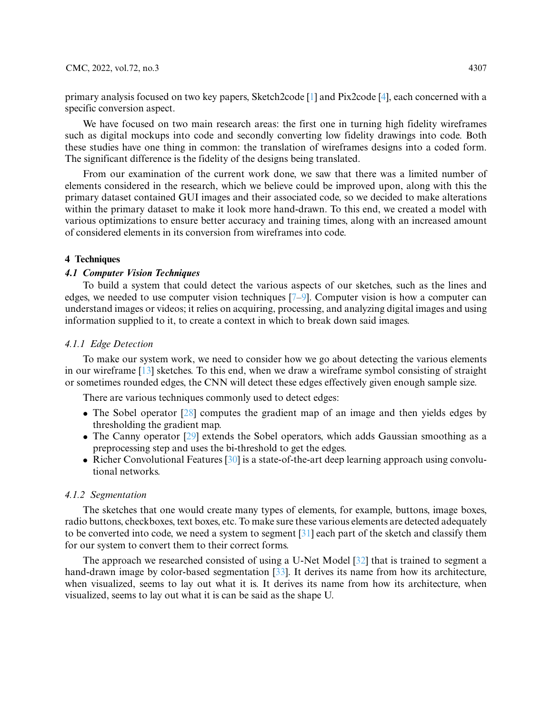primary analysis focused on two key papers, Sketch2code [\[1\]](#page-16-0) and Pix2code [\[4\]](#page-16-2), each concerned with a specific conversion aspect.

We have focused on two main research areas: the first one in turning high fidelity wireframes such as digital mockups into code and secondly converting low fidelity drawings into code. Both these studies have one thing in common: the translation of wireframes designs into a coded form. The significant difference is the fidelity of the designs being translated.

From our examination of the current work done, we saw that there was a limited number of elements considered in the research, which we believe could be improved upon, along with this the primary dataset contained GUI images and their associated code, so we decided to make alterations within the primary dataset to make it look more hand-drawn. To this end, we created a model with various optimizations to ensure better accuracy and training times, along with an increased amount of considered elements in its conversion from wireframes into code.

## **4 Techniques**

## *4.1 Computer Vision Techniques*

To build a system that could detect the various aspects of our sketches, such as the lines and edges, we needed to use computer vision techniques [\[7–](#page-16-6)[9\]](#page-16-7). Computer vision is how a computer can understand images or videos; it relies on acquiring, processing, and analyzing digital images and using information supplied to it, to create a context in which to break down said images.

## *4.1.1 Edge Detection*

To make our system work, we need to consider how we go about detecting the various elements in our wireframe [\[13\]](#page-16-11) sketches. To this end, when we draw a wireframe symbol consisting of straight or sometimes rounded edges, the CNN will detect these edges effectively given enough sample size.

There are various techniques commonly used to detect edges:

- The Sobel operator [\[28\]](#page-17-6) computes the gradient map of an image and then yields edges by thresholding the gradient map.
- The Canny operator [\[29\]](#page-17-7) extends the Sobel operators, which adds Gaussian smoothing as a preprocessing step and uses the bi-threshold to get the edges.
- Richer Convolutional Features [\[30\]](#page-17-8) is a state-of-the-art deep learning approach using convolutional networks.

#### *4.1.2 Segmentation*

The sketches that one would create many types of elements, for example, buttons, image boxes, radio buttons, checkboxes, text boxes, etc. To make sure these various elements are detected adequately to be converted into code, we need a system to segment [\[31\]](#page-17-9) each part of the sketch and classify them for our system to convert them to their correct forms.

The approach we researched consisted of using a U-Net Model [\[32\]](#page-17-10) that is trained to segment a hand-drawn image by color-based segmentation [\[33\]](#page-17-11). It derives its name from how its architecture, when visualized, seems to lay out what it is. It derives its name from how its architecture, when visualized, seems to lay out what it is can be said as the shape U.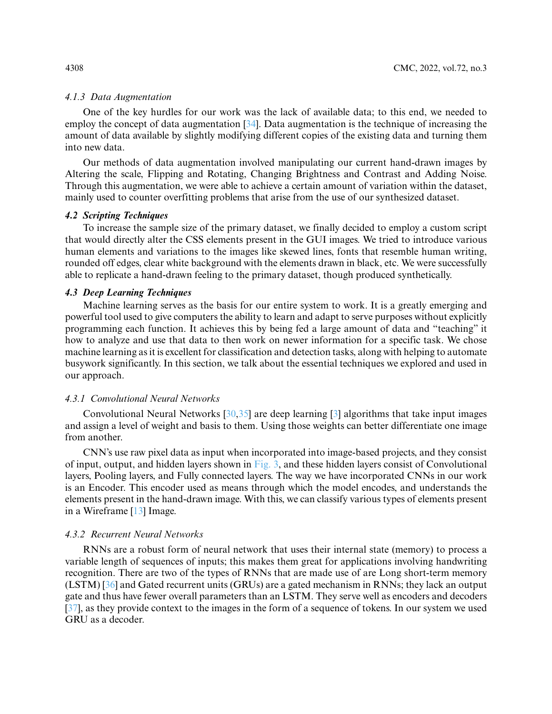## *4.1.3 Data Augmentation*

One of the key hurdles for our work was the lack of available data; to this end, we needed to employ the concept of data augmentation [\[34\]](#page-17-12). Data augmentation is the technique of increasing the amount of data available by slightly modifying different copies of the existing data and turning them into new data.

Our methods of data augmentation involved manipulating our current hand-drawn images by Altering the scale, Flipping and Rotating, Changing Brightness and Contrast and Adding Noise. Through this augmentation, we were able to achieve a certain amount of variation within the dataset, mainly used to counter overfitting problems that arise from the use of our synthesized dataset.

## *4.2 Scripting Techniques*

To increase the sample size of the primary dataset, we finally decided to employ a custom script that would directly alter the CSS elements present in the GUI images. We tried to introduce various human elements and variations to the images like skewed lines, fonts that resemble human writing, rounded off edges, clear white background with the elements drawn in black, etc. We were successfully able to replicate a hand-drawn feeling to the primary dataset, though produced synthetically.

#### *4.3 Deep Learning Techniques*

Machine learning serves as the basis for our entire system to work. It is a greatly emerging and powerful tool used to give computers the ability to learn and adapt to serve purposes without explicitly programming each function. It achieves this by being fed a large amount of data and "teaching" it how to analyze and use that data to then work on newer information for a specific task. We chose machine learning as it is excellent for classification and detection tasks, along with helping to automate busywork significantly. In this section, we talk about the essential techniques we explored and used in our approach.

## *4.3.1 Convolutional Neural Networks*

Convolutional Neural Networks [\[30](#page-17-8)[,35\]](#page-17-13) are deep learning [\[3\]](#page-16-1) algorithms that take input images and assign a level of weight and basis to them. Using those weights can better differentiate one image from another.

CNN's use raw pixel data as input when incorporated into image-based projects, and they consist of input, output, and hidden layers shown in [Fig. 3,](#page-6-0) and these hidden layers consist of Convolutional layers, Pooling layers, and Fully connected layers. The way we have incorporated CNNs in our work is an Encoder. This encoder used as means through which the model encodes, and understands the elements present in the hand-drawn image. With this, we can classify various types of elements present in a Wireframe [\[13\]](#page-16-11) Image.

## *4.3.2 Recurrent Neural Networks*

RNNs are a robust form of neural network that uses their internal state (memory) to process a variable length of sequences of inputs; this makes them great for applications involving handwriting recognition. There are two of the types of RNNs that are made use of are Long short-term memory (LSTM) [\[36\]](#page-17-14) and Gated recurrent units (GRUs) are a gated mechanism in RNNs; they lack an output gate and thus have fewer overall parameters than an LSTM. They serve well as encoders and decoders [\[37\]](#page-17-15), as they provide context to the images in the form of a sequence of tokens. In our system we used GRU as a decoder.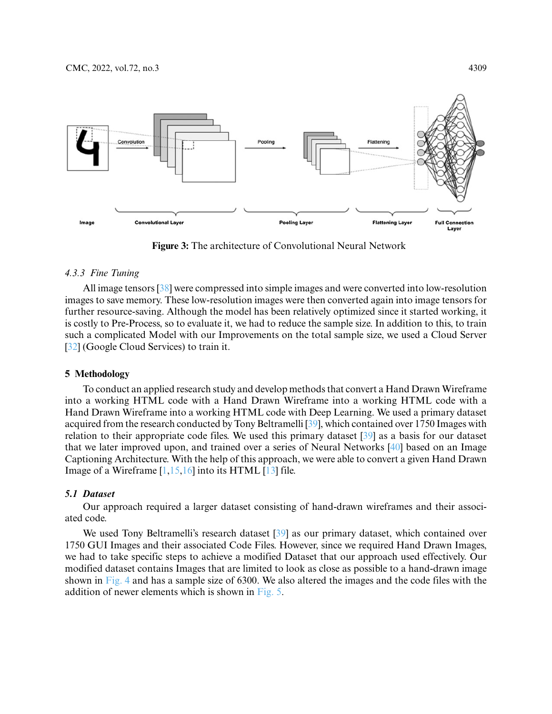

**Figure 3:** The architecture of Convolutional Neural Network

#### <span id="page-6-0"></span>*4.3.3 Fine Tuning*

All image tensors [\[38\]](#page-17-16) were compressed into simple images and were converted into low-resolution images to save memory. These low-resolution images were then converted again into image tensors for further resource-saving. Although the model has been relatively optimized since it started working, it is costly to Pre-Process, so to evaluate it, we had to reduce the sample size. In addition to this, to train such a complicated Model with our Improvements on the total sample size, we used a Cloud Server [\[32\]](#page-17-10) (Google Cloud Services) to train it.

#### **5 Methodology**

To conduct an applied research study and develop methods that convert a Hand Drawn Wireframe into a working HTML code with a Hand Drawn Wireframe into a working HTML code with a Hand Drawn Wireframe into a working HTML code with Deep Learning. We used a primary dataset acquired from the research conducted by Tony Beltramelli [\[39\]](#page-17-17), which contained over 1750 Images with relation to their appropriate code files. We used this primary dataset [\[39\]](#page-17-17) as a basis for our dataset that we later improved upon, and trained over a series of Neural Networks [\[40\]](#page-17-18) based on an Image Captioning Architecture. With the help of this approach, we were able to convert a given Hand Drawn Image of a Wireframe  $[1,15,16]$  $[1,15,16]$  $[1,15,16]$  into its HTML  $[13]$  file.

## *5.1 Dataset*

Our approach required a larger dataset consisting of hand-drawn wireframes and their associated code.

We used Tony Beltramelli's research dataset [\[39\]](#page-17-17) as our primary dataset, which contained over 1750 GUI Images and their associated Code Files. However, since we required Hand Drawn Images, we had to take specific steps to achieve a modified Dataset that our approach used effectively. Our modified dataset contains Images that are limited to look as close as possible to a hand-drawn image shown in [Fig. 4](#page-7-0) and has a sample size of 6300. We also altered the images and the code files with the addition of newer elements which is shown in [Fig. 5.](#page-7-1)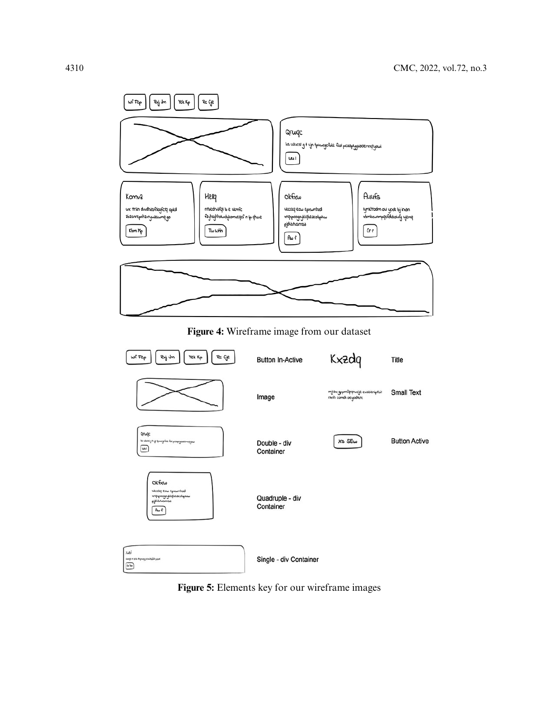<span id="page-7-0"></span>

<span id="page-7-1"></span>**Figure 5:** Elements key for our wireframe images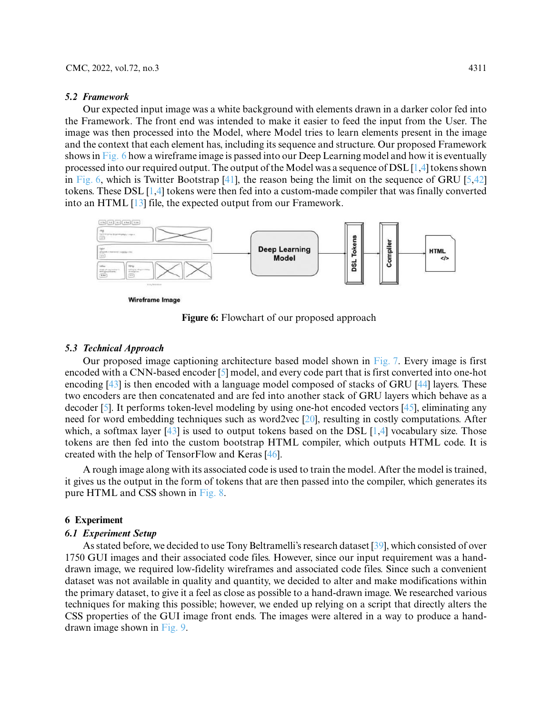#### *5.2 Framework*

Our expected input image was a white background with elements drawn in a darker color fed into the Framework. The front end was intended to make it easier to feed the input from the User. The image was then processed into the Model, where Model tries to learn elements present in the image and the context that each element has, including its sequence and structure. Our proposed Framework shows in [Fig. 6](#page-8-0) how a wireframe image is passed into our Deep Learning model and how it is eventually processed into our required output. The output of the Model was a sequence of DSL [\[1,](#page-16-0)[4\]](#page-16-2) tokens shown in [Fig. 6,](#page-8-0) which is Twitter Bootstrap  $[41]$ , the reason being the limit on the sequence of GRU  $[5,42]$  $[5,42]$ tokens. These DSL [\[1,](#page-16-0)[4\]](#page-16-2) tokens were then fed into a custom-made compiler that was finally converted into an HTML [\[13\]](#page-16-11) file, the expected output from our Framework.



**Wireframe Image** 

**Figure 6:** Flowchart of our proposed approach

#### <span id="page-8-0"></span>*5.3 Technical Approach*

Our proposed image captioning architecture based model shown in [Fig. 7.](#page-9-0) Every image is first encoded with a CNN-based encoder [\[5\]](#page-16-3) model, and every code part that is first converted into one-hot encoding [\[43\]](#page-17-21) is then encoded with a language model composed of stacks of GRU [\[44\]](#page-18-0) layers. These two encoders are then concatenated and are fed into another stack of GRU layers which behave as a decoder [\[5\]](#page-16-3). It performs token-level modeling by using one-hot encoded vectors [\[45\]](#page-18-1), eliminating any need for word embedding techniques such as word2vec [\[20\]](#page-16-18), resulting in costly computations. After which, a softmax layer  $[43]$  is used to output tokens based on the DSL  $[1,4]$  $[1,4]$  vocabulary size. Those tokens are then fed into the custom bootstrap HTML compiler, which outputs HTML code. It is created with the help of TensorFlow and Keras [\[46\]](#page-18-2).

A rough image along with its associated code is used to train the model. After the model is trained, it gives us the output in the form of tokens that are then passed into the compiler, which generates its pure HTML and CSS shown in [Fig. 8.](#page-9-1)

#### **6 Experiment**

#### *6.1 Experiment Setup*

As stated before, we decided to use Tony Beltramelli's research dataset [\[39\]](#page-17-17), which consisted of over 1750 GUI images and their associated code files. However, since our input requirement was a handdrawn image, we required low-fidelity wireframes and associated code files. Since such a convenient dataset was not available in quality and quantity, we decided to alter and make modifications within the primary dataset, to give it a feel as close as possible to a hand-drawn image. We researched various techniques for making this possible; however, we ended up relying on a script that directly alters the CSS properties of the GUI image front ends. The images were altered in a way to produce a handdrawn image shown in [Fig. 9.](#page-10-0)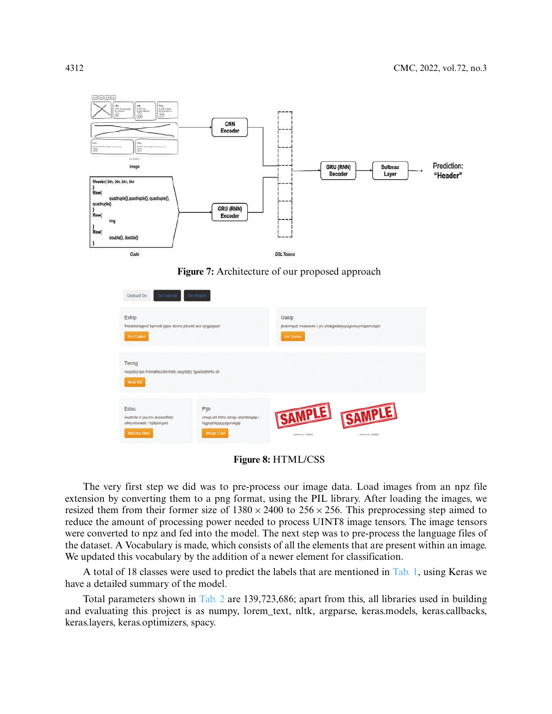

**Figure 7:** Architecture of our proposed approach

<span id="page-9-0"></span>

| <b>Do Охроуір</b><br>Qxqruzd Do                                                          | Dm Mygyrh                                                                               |                                                                                 |
|------------------------------------------------------------------------------------------|-----------------------------------------------------------------------------------------|---------------------------------------------------------------------------------|
| Exfnp<br>fhtsdckdragkvit bpmndl pjzjw derms ptcodd ace vjvgpsjspd<br><b>Red Dqlkxi</b>   |                                                                                         | Oaktp<br>jlwarmqxzt mvasswki c jro uhialgsdanjvpugwicuymqzemckptc<br>Xxt Tpvtuv |
| Twcxg<br>nwpzdyj kpo h kmahbccire innic xxqybdzy tguxilodnmfu str<br>Megi Itrit          |                                                                                         |                                                                                 |
| Edisc<br>bouzhvte ri yxu mv avosxnfobz<br>ulkbyutsoaalc f ejdlpbngxd<br><b>Mmcma Awu</b> | Ptjtr<br>vmup old hfmx omxjy uhzvbtsgaip i<br>hggoghbppqypgcrudgip<br><b>Mhvgc Ctvd</b> | SAMPLE SAMPLE<br>Guildriven con 198100206<br><b>Admission and CONSTRUCTS</b>    |

**Figure 8:** HTML/CSS

<span id="page-9-1"></span>The very first step we did was to pre-process our image data. Load images from an npz file extension by converting them to a png format, using the PIL library. After loading the images, we resized them from their former size of  $1380 \times 2400$  to  $256 \times 256$ . This preprocessing step aimed to reduce the amount of processing power needed to process UINT8 image tensors. The image tensors were converted to npz and fed into the model. The next step was to pre-process the language files of the dataset. A Vocabulary is made, which consists of all the elements that are present within an image. We updated this vocabulary by the addition of a newer element for classification.

A total of 18 classes were used to predict the labels that are mentioned in [Tab. 1,](#page-10-1) using Keras we have a detailed summary of the model.

Total parameters shown in [Tab. 2](#page-11-0) are 139,723,686; apart from this, all libraries used in building and evaluating this project is as numpy, lorem\_text, nltk, argparse, keras.models, keras.callbacks, keras.layers, keras.optimizers, spacy.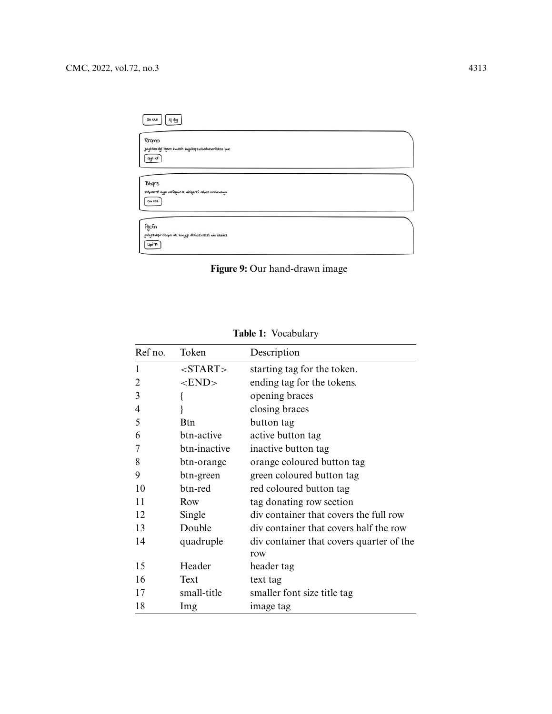| 地区<br>Sn Mat                                                     |  |
|------------------------------------------------------------------|--|
| Rrgmo                                                            |  |
| juzyetan dgf izgam zuwech zwjrfeq exobaduexmfakeo ipuc<br>Gyn Nf |  |
| <b>Bbqrs</b>                                                     |  |
| gstpismd aygo vodfegun iq xithiyongf vidpat inmscuaugn           |  |
| ou ukz                                                           |  |
| Ajcfn                                                            |  |
| godyszkólyv dsops utc konycjk dhfucehnzzzh xfo skalficz<br>UpfF1 |  |



<span id="page-10-1"></span><span id="page-10-0"></span>

| Ref no. | Token           | Description                              |
|---------|-----------------|------------------------------------------|
| 1       | <start></start> | starting tag for the token.              |
| 2       | $<$ END $>$     | ending tag for the tokens.               |
| 3       |                 | opening braces                           |
| 4       |                 | closing braces                           |
| 5       | <b>Btn</b>      | button tag                               |
| 6       | btn-active      | active button tag                        |
| 7       | btn-inactive    | inactive button tag                      |
| 8       | btn-orange      | orange coloured button tag               |
| 9       | btn-green       | green coloured button tag                |
| 10      | btn-red         | red coloured button tag                  |
| 11      | Row             | tag donating row section                 |
| 12      | Single          | div container that covers the full row   |
| 13      | Double          | div container that covers half the row   |
| 14      | quadruple       | div container that covers quarter of the |
|         |                 | row                                      |
| 15      | Header          | header tag                               |
| 16      | Text            | text tag                                 |
| 17      | small-title     | smaller font size title tag              |
| 18      | Img             | image tag                                |

**Table 1:** Vocabulary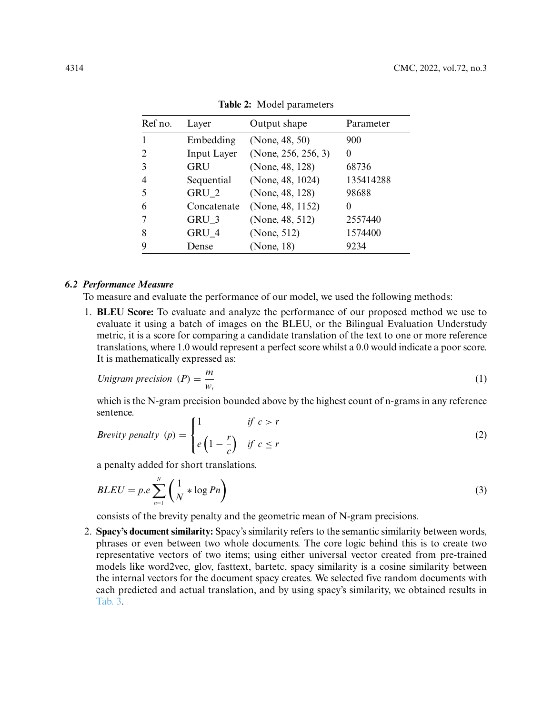<span id="page-11-0"></span>

| Ref no.                     | Layer              | Output shape        | Parameter    |
|-----------------------------|--------------------|---------------------|--------------|
|                             | Embedding          | (None, 48, 50)      | 900          |
| $\mathcal{D}_{\mathcal{A}}$ | <b>Input Layer</b> | (None, 256, 256, 3) | $\theta$     |
| 3                           | GRU                | (None, 48, 128)     | 68736        |
|                             | Sequential         | (None, 48, 1024)    | 135414288    |
|                             | GRU 2              | (None, 48, 128)     | 98688        |
| 6                           | Concatenate        | (None, 48, 1152)    | $\mathbf{0}$ |
|                             | $GRU_3$            | (None, 48, 512)     | 2557440      |
| 8                           | GRU 4              | (None, 512)         | 1574400      |
|                             | Dense              | (None, 18)          | 9234         |

**Table 2:** Model parameters

## *6.2 Performance Measure*

To measure and evaluate the performance of our model, we used the following methods:

1. **BLEU Score:** To evaluate and analyze the performance of our proposed method we use to evaluate it using a batch of images on the BLEU, or the Bilingual Evaluation Understudy metric, it is a score for comparing a candidate translation of the text to one or more reference translations, where 1.0 would represent a perfect score whilst a 0.0 would indicate a poor score. It is mathematically expressed as:

$$
Unigram precision (P) = \frac{m}{w_t}
$$
\n(1)

which is the N-gram precision bounded above by the highest count of n-grams in any reference sentence.

$$
Brevity\;penalty\;(p) = \begin{cases} 1 & \text{if } c > r \\ e\left(1 - \frac{r}{c}\right) & \text{if } c \le r \end{cases} \tag{2}
$$

a penalty added for short translations.

$$
BLEU = p.e \sum_{n=1}^{N} \left( \frac{1}{N} * \log P_n \right)
$$
 (3)

consists of the brevity penalty and the geometric mean of N-gram precisions.

2. **Spacy's document similarity:** Spacy's similarity refers to the semantic similarity between words, phrases or even between two whole documents. The core logic behind this is to create two representative vectors of two items; using either universal vector created from pre-trained models like word2vec, glov, fasttext, bartetc, spacy similarity is a cosine similarity between the internal vectors for the document spacy creates. We selected five random documents with each predicted and actual translation, and by using spacy's similarity, we obtained results in [Tab. 3.](#page-12-0)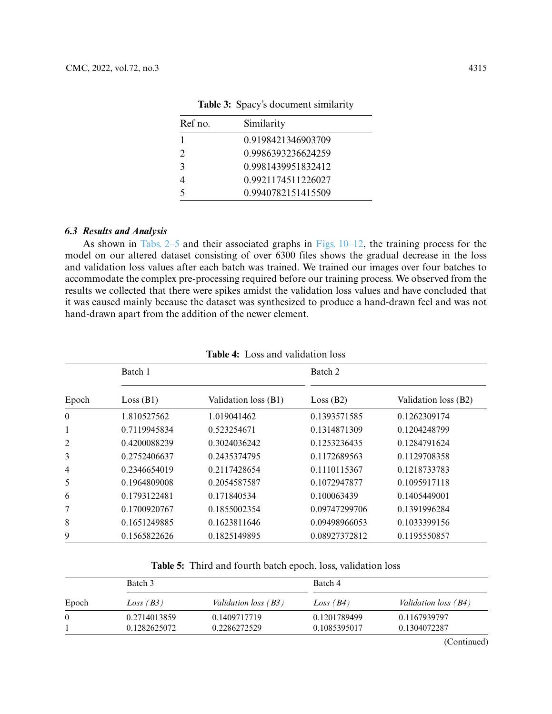<span id="page-12-0"></span>

| Ref no.                     | Similarity         |
|-----------------------------|--------------------|
|                             | 0.9198421346903709 |
| $\mathcal{D}_{\mathcal{L}}$ | 0.9986393236624259 |
| $\mathbf{z}$                | 0.9981439951832412 |
|                             | 0.9921174511226027 |
|                             | 0.9940782151415509 |

**Table 3:** Spacy's document similarity

## *6.3 Results and Analysis*

As shown in [Tabs. 2–5](#page-11-0) and their associated graphs in [Figs. 10–12,](#page-13-0) the training process for the model on our altered dataset consisting of over 6300 files shows the gradual decrease in the loss and validation loss values after each batch was trained. We trained our images over four batches to accommodate the complex pre-processing required before our training process. We observed from the results we collected that there were spikes amidst the validation loss values and have concluded that it was caused mainly because the dataset was synthesized to produce a hand-drawn feel and was not hand-drawn apart from the addition of the newer element.

|          | Batch 1      |                      | Batch 2       |                      |
|----------|--------------|----------------------|---------------|----------------------|
| Epoch    | Loss (B1)    | Validation loss (B1) | Loss (B2)     | Validation loss (B2) |
| $\theta$ | 1.810527562  | 1.019041462          | 0.1393571585  | 0.1262309174         |
| 1        | 0.7119945834 | 0.523254671          | 0.1314871309  | 0.1204248799         |
| 2        | 0.4200088239 | 0.3024036242         | 0.1253236435  | 0.1284791624         |
| 3        | 0.2752406637 | 0.2435374795         | 0.1172689563  | 0.1129708358         |
| 4        | 0.2346654019 | 0.2117428654         | 0.1110115367  | 0.1218733783         |
| 5        | 0.1964809008 | 0.2054587587         | 0.1072947877  | 0.1095917118         |
| 6        | 0.1793122481 | 0.171840534          | 0.100063439   | 0.1405449001         |
| 7        | 0.1700920767 | 0.1855002354         | 0.09747299706 | 0.1391996284         |
| 8        | 0.1651249885 | 0.1623811646         | 0.09498966053 | 0.1033399156         |
| 9        | 0.1565822626 | 0.1825149895         | 0.08927372812 | 0.1195550857         |

**Table 5:** Third and fourth batch epoch, loss, validation loss

|          | Batch 3      |                             | Batch 4      |                             |
|----------|--------------|-----------------------------|--------------|-----------------------------|
| Epoch    | Loss(B3)     | <i>Validation loss</i> (B3) | Loss(B4)     | <i>Validation loss</i> (B4) |
| $\theta$ | 0.2714013859 | 0.1409717719                | 0.1201789499 | 0.1167939797                |
|          | 0.1282625072 | 0.2286272529                | 0.1085395017 | 0.1304072287                |

(Continued)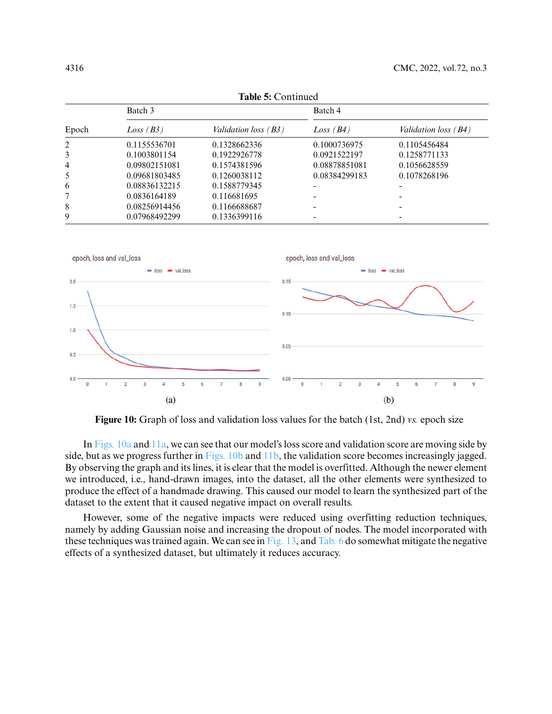| <b>Table 5: Continued</b> |               |                             |               |                        |
|---------------------------|---------------|-----------------------------|---------------|------------------------|
|                           | Batch 3       |                             |               |                        |
| Epoch                     | Loss(B3)      | <i>Validation loss</i> (B3) | Loss(B4)      | Validation loss $(B4)$ |
| 2                         | 0.1155536701  | 0.1328662336                | 0.1000736975  | 0.1105456484           |
| 3                         | 0.1003801154  | 0.1922926778                | 0.0921522197  | 0.1258771133           |
| $\overline{4}$            | 0.09802151081 | 0.1574381596                | 0.08878851081 | 0.1056628559           |
| 5                         | 0.09681803485 | 0.1260038112                | 0.08384299183 | 0.1078268196           |
| 6                         | 0.08836132215 | 0.1588779345                |               |                        |
| 7                         | 0.0836164189  | 0.116681695                 |               |                        |
| 8                         | 0.08256914456 | 0.1166688687                |               |                        |
| 9                         | 0.07968492299 | 0.1336399116                |               |                        |



<span id="page-13-0"></span>**Figure 10:** Graph of loss and validation loss values for the batch (1st, 2nd) *vs.* epoch size

In [Figs. 10a](#page-13-0) and [11a,](#page-14-0) we can see that our model's loss score and validation score are moving side by side, but as we progress further in [Figs. 10b](#page-13-0) and [11b,](#page-14-0) the validation score becomes increasingly jagged. By observing the graph and its lines, it is clear that the model is overfitted. Although the newer element we introduced, i.e., hand-drawn images, into the dataset, all the other elements were synthesized to produce the effect of a handmade drawing. This caused our model to learn the synthesized part of the dataset to the extent that it caused negative impact on overall results.

However, some of the negative impacts were reduced using overfitting reduction techniques, namely by adding Gaussian noise and increasing the dropout of nodes. The model incorporated with these techniques was trained again. We can see in [Fig. 13,](#page-14-1) and [Tab. 6](#page-15-0) do somewhat mitigate the negative effects of a synthesized dataset, but ultimately it reduces accuracy.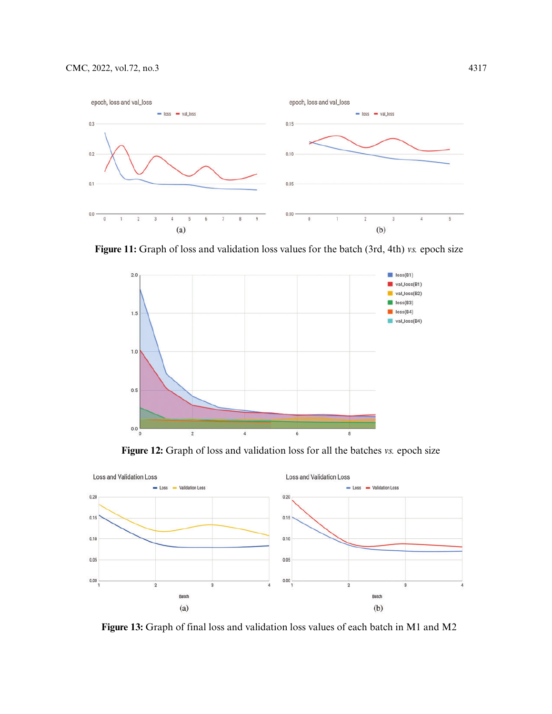

<span id="page-14-0"></span>**Figure 11:** Graph of loss and validation loss values for the batch (3rd, 4th) *vs.* epoch size



**Figure 12:** Graph of loss and validation loss for all the batches *vs.* epoch size



<span id="page-14-1"></span>**Figure 13:** Graph of final loss and validation loss values of each batch in M1 and M2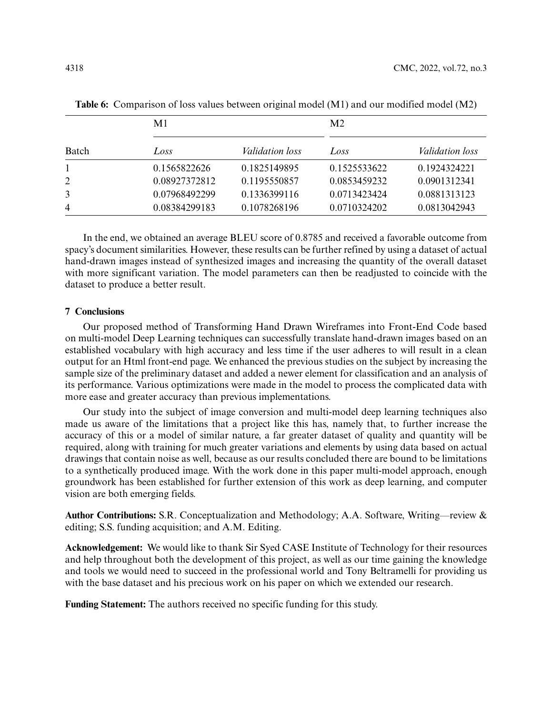|              | M1            |                        | M <sub>2</sub> |                        |
|--------------|---------------|------------------------|----------------|------------------------|
| Batch        | Loss          | <i>Validation loss</i> | Loss           | <i>Validation loss</i> |
| $\mathbf{1}$ | 0.1565822626  | 0.1825149895           | 0.1525533622   | 0.1924324221           |
| 2            | 0.08927372812 | 0.1195550857           | 0.0853459232   | 0.0901312341           |
| 3            | 0.07968492299 | 0.1336399116           | 0.0713423424   | 0.0881313123           |
| 4            | 0.08384299183 | 0.1078268196           | 0.0710324202   | 0.0813042943           |

<span id="page-15-0"></span>**Table 6:** Comparison of loss values between original model (M1) and our modified model (M2)

In the end, we obtained an average BLEU score of 0.8785 and received a favorable outcome from spacy's document similarities. However, these results can be further refined by using a dataset of actual hand-drawn images instead of synthesized images and increasing the quantity of the overall dataset with more significant variation. The model parameters can then be readjusted to coincide with the dataset to produce a better result.

## **7 Conclusions**

Our proposed method of Transforming Hand Drawn Wireframes into Front-End Code based on multi-model Deep Learning techniques can successfully translate hand-drawn images based on an established vocabulary with high accuracy and less time if the user adheres to will result in a clean output for an Html front-end page. We enhanced the previous studies on the subject by increasing the sample size of the preliminary dataset and added a newer element for classification and an analysis of its performance. Various optimizations were made in the model to process the complicated data with more ease and greater accuracy than previous implementations.

Our study into the subject of image conversion and multi-model deep learning techniques also made us aware of the limitations that a project like this has, namely that, to further increase the accuracy of this or a model of similar nature, a far greater dataset of quality and quantity will be required, along with training for much greater variations and elements by using data based on actual drawings that contain noise as well, because as our results concluded there are bound to be limitations to a synthetically produced image. With the work done in this paper multi-model approach, enough groundwork has been established for further extension of this work as deep learning, and computer vision are both emerging fields.

**Author Contributions:** S.R. Conceptualization and Methodology; A.A. Software, Writing—review & editing; S.S. funding acquisition; and A.M. Editing.

**Acknowledgement:** We would like to thank Sir Syed CASE Institute of Technology for their resources and help throughout both the development of this project, as well as our time gaining the knowledge and tools we would need to succeed in the professional world and Tony Beltramelli for providing us with the base dataset and his precious work on his paper on which we extended our research.

**Funding Statement:** The authors received no specific funding for this study.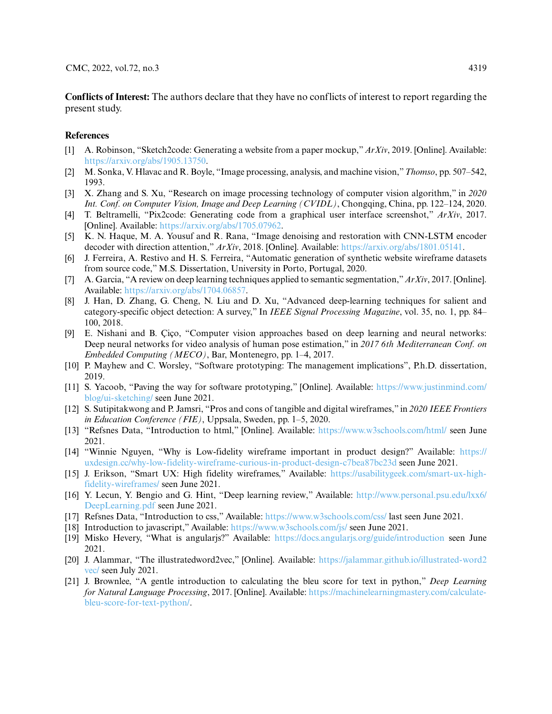**Conflicts of Interest:** The authors declare that they have no conflicts of interest to report regarding the present study.

## **References**

- <span id="page-16-0"></span>[1] A. Robinson, "Sketch2code: Generating a website from a paper mockup," *ArXiv*, 2019. [Online]. Available: [https://arxiv.org/abs/1905.13750.](https://arxiv.org/abs/1905.13750)
- <span id="page-16-5"></span>[2] M. Sonka, V. Hlavac and R. Boyle, "Image processing, analysis, and machine vision,"*Thomso*, pp. 507–542, 1993.
- <span id="page-16-1"></span>[3] X. Zhang and S. Xu, "Research on image processing technology of computer vision algorithm," in *2020 Int. Conf. on Computer Vision, Image and Deep Learning (CVIDL)*, Chongqing, China, pp. 122–124, 2020.
- <span id="page-16-2"></span>[4] T. Beltramelli, "Pix2code: Generating code from a graphical user interface screenshot," *ArXiv*, 2017. [Online]. Available: [https://arxiv.org/abs/1705.07962.](https://arxiv.org/abs/1705.07962)
- <span id="page-16-3"></span>[5] K. N. Haque, M. A. Yousuf and R. Rana, "Image denoising and restoration with CNN-LSTM encoder decoder with direction attention," *ArXiv*, 2018. [Online]. Available: [https://arxiv.org/abs/1801.05141.](https://arxiv.org/abs/1801.05141)
- <span id="page-16-4"></span>[6] J. Ferreira, A. Restivo and H. S. Ferreira, "Automatic generation of synthetic website wireframe datasets from source code," M.S. Dissertation, University in Porto, Portugal, 2020.
- <span id="page-16-6"></span>[7] A. Garcia, "A review on deep learning techniques applied to semantic segmentation,"*ArXiv*, 2017. [Online]. Available: [https://arxiv.org/abs/1704.06857.](https://arxiv.org/abs/1704.06857)
- [8] J. Han, D. Zhang, G. Cheng, N. Liu and D. Xu, "Advanced deep-learning techniques for salient and category-specific object detection: A survey," In *IEEE Signal Processing Magazine*, vol. 35, no. 1, pp. 84– 100, 2018.
- <span id="page-16-7"></span>[9] E. Nishani and B. Çiço, "Computer vision approaches based on deep learning and neural networks: Deep neural networks for video analysis of human pose estimation," in *2017 6th Mediterranean Conf. on Embedded Computing (MECO)*, Bar, Montenegro, pp. 1–4, 2017.
- <span id="page-16-8"></span>[10] P. Mayhew and C. Worsley, "Software prototyping: The management implications", P.h.D. dissertation, 2019.
- <span id="page-16-9"></span>[11] S. Yacoob, "Paving the way for software prototyping," [Online]. Available: [https://www.justinmind.com/](https://www.justinmind.com/blog/ui-sketching/) [blog/ui-sketching/](https://www.justinmind.com/blog/ui-sketching/) seen June 2021.
- <span id="page-16-10"></span>[12] S. Sutipitakwong and P. Jamsri, "Pros and cons of tangible and digital wireframes," in *2020 IEEE Frontiers in Education Conference (FIE)*, Uppsala, Sweden, pp. 1–5, 2020.
- <span id="page-16-11"></span>[13] "Refsnes Data, "Introduction to html," [Online]. Available: <https://www.w3schools.com/html/> seen June 2021.
- <span id="page-16-12"></span>[14] "Winnie Nguyen, "Why is Low-fidelity wireframe important in product design?" Available: [https://](https://uxdesign.cc/why-low-fidelity-wireframe-curious-in-product-design-c7bea87bc23d) [uxdesign.cc/why-low-fidelity-wireframe-curious-in-product-design-c7bea87bc23d](https://uxdesign.cc/why-low-fidelity-wireframe-curious-in-product-design-c7bea87bc23d) seen June 2021.
- <span id="page-16-13"></span>[15] J. Erikson, "Smart UX: High fidelity wireframes," Available: [https://usabilitygeek.com/smart-ux-high](https://usabilitygeek.com/smart-ux-high-fidelity-wireframes/)[fidelity-wireframes/](https://usabilitygeek.com/smart-ux-high-fidelity-wireframes/) seen June 2021.
- <span id="page-16-14"></span>[16] Y. Lecun, Y. Bengio and G. Hint, "Deep learning review," Available: [http://www.personal.psu.edu/lxx6/](http://www.personal.psu.edu/lxx6/DeepLearning.pdf) [DeepLearning.pdf](http://www.personal.psu.edu/lxx6/DeepLearning.pdf) seen June 2021.
- <span id="page-16-15"></span>[17] Refsnes Data, "Introduction to css," Available: <https://www.w3schools.com/css/> last seen June 2021.
- <span id="page-16-16"></span>[18] Introduction to javascript," Available: <https://www.w3schools.com/js/> seen June 2021.
- <span id="page-16-17"></span>[19] Misko Hevery, "What is angularjs?" Available: <https://docs.angularjs.org/guide/introduction> seen June 2021.
- <span id="page-16-18"></span>[20] J. Alammar, "The illustratedword2vec," [Online]. Available: [https://jalammar.github.io/illustrated-word2](https://jalammar.github.io/illustrated-word2vec/) [vec/](https://jalammar.github.io/illustrated-word2vec/) seen July 2021.
- <span id="page-16-19"></span>[21] J. Brownlee, "A gentle introduction to calculating the bleu score for text in python," *Deep Learning for Natural Language Processing*, 2017. [Online]. Available: [https://machinelearningmastery.com/calculate](https://machinelearningmastery.com/calculate-bleu-score-for-text-python/)[bleu-score-for-text-python/.](https://machinelearningmastery.com/calculate-bleu-score-for-text-python/)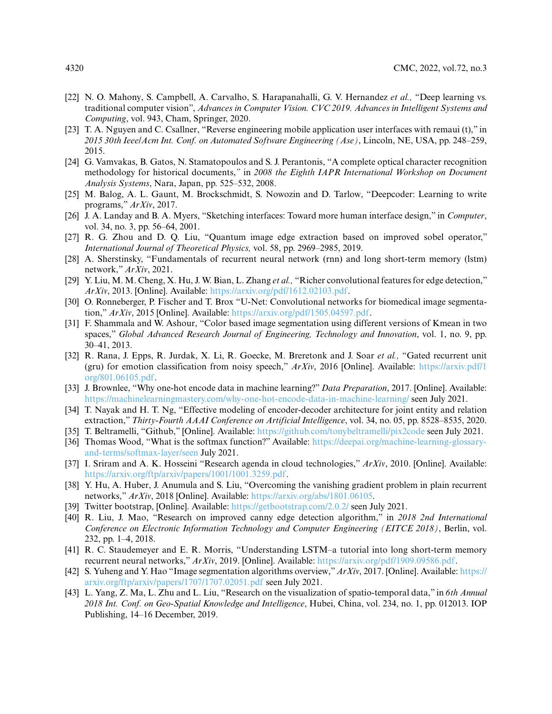- <span id="page-17-0"></span>[22] N. O. Mahony, S. Campbell, A. Carvalho, S. Harapanahalli, G. V. Hernandez *et al.,* "Deep learning vs. traditional computer vision", *Advances in Computer Vision. CVC 2019. Advances in Intelligent Systems and Computing*, vol. 943, Cham, Springer, 2020.
- <span id="page-17-1"></span>[23] T. A. Nguyen and C. Csallner, "Reverse engineering mobile application user interfaces with remaui (t)," in *2015 30th Ieee/Acm Int. Conf. on Automated Software Engineering (Ase)*, Lincoln, NE, USA, pp. 248–259, 2015.
- <span id="page-17-2"></span>[24] G. Vamvakas, B. Gatos, N. Stamatopoulos and S. J. Perantonis, "A complete optical character recognition methodology for historical documents,*"* in *2008 the Eighth IAPR International Workshop on Document Analysis Systems*, Nara, Japan, pp. 525–532, 2008.
- <span id="page-17-3"></span>[25] M. Balog, A. L. Gaunt, M. Brockschmidt, S. Nowozin and D. Tarlow, "Deepcoder: Learning to write programs," *ArXiv*, 2017.
- <span id="page-17-4"></span>[26] J. A. Landay and B. A. Myers, "Sketching interfaces: Toward more human interface design," in *Computer*, vol. 34, no. 3, pp. 56–64, 2001.
- <span id="page-17-5"></span>[27] R. G. Zhou and D. Q. Liu, "Quantum image edge extraction based on improved sobel operator," *International Journal of Theoretical Physics,* vol. 58, pp. 2969–2985, 2019.
- <span id="page-17-6"></span>[28] A. Sherstinsky, "Fundamentals of recurrent neural network (rnn) and long short-term memory (lstm) network," *ArXiv*, 2021.
- <span id="page-17-7"></span>[29] Y. Liu, M. M. Cheng, X. Hu, J. W. Bian, L. Zhang *et al.,* "Richer convolutional features for edge detection," *ArXiv*, 2013. [Online]. Available: [https://arxiv.org/pdf/1612.02103.pdf.](https://arxiv.org/pdf/1612.02103.pdf)
- <span id="page-17-8"></span>[30] O. Ronneberger, P. Fischer and T. Brox "U-Net: Convolutional networks for biomedical image segmentation," *ArXiv*, 2015 [Online]. Available: [https://arxiv.org/pdf/1505.04597.pdf.](https://arxiv.org/pdf/1505.04597.pdf)
- <span id="page-17-9"></span>[31] F. Shammala and W. Ashour, "Color based image segmentation using different versions of Kmean in two spaces," *Global Advanced Research Journal of Engineering, Technology and Innovation*, vol. 1, no. 9, pp. 30–41, 2013.
- <span id="page-17-10"></span>[32] R. Rana, J. Epps, R. Jurdak, X. Li, R. Goecke, M. Breretonk and J. Soar *et al.,* "Gated recurrent unit (gru) for emotion classification from noisy speech," *ArXiv*, 2016 [Online]. Available: [https://arxiv.pdf/1](https://arxiv.pdf/1org/801.06105.pdf) [org/801.06105.pdf.](https://arxiv.pdf/1org/801.06105.pdf)
- <span id="page-17-11"></span>[33] J. Brownlee, "Why one-hot encode data in machine learning?" *Data Preparation*, 2017. [Online]. Available: <https://machinelearningmastery.com/why-one-hot-encode-data-in-machine-learning/> seen July 2021.
- <span id="page-17-12"></span>[34] T. Nayak and H. T. Ng, "Effective modeling of encoder-decoder architecture for joint entity and relation extraction," *Thirty-Fourth AAAI Conference on Artificial Intelligence*, vol. 34, no. 05, pp. 8528–8535, 2020.
- <span id="page-17-13"></span>[35] T. Beltramelli, "Github," [Online]. Available: <https://github.com/tonybeltramelli/pix2code> seen July 2021.
- <span id="page-17-14"></span>[36] Thomas Wood, "What is the softmax function?" Available: [https://deepai.org/machine-learning-glossary](https://deepai.org/machine-learning-glossary-and-terms/softmax-layer/seen)[and-terms/softmax-layer/seen](https://deepai.org/machine-learning-glossary-and-terms/softmax-layer/seen) July 2021.
- <span id="page-17-15"></span>[37] I. Sriram and A. K. Hosseini "Research agenda in cloud technologies," *ArXiv*, 2010. [Online]. Available: [https://arxiv.org/ftp/arxiv/papers/1001/1001.3259.pdf.](https://arxiv.org/ftp/arxiv/papers/1001/1001.3259.pdf)
- <span id="page-17-16"></span>[38] Y. Hu, A. Huber, J. Anumula and S. Liu, "Overcoming the vanishing gradient problem in plain recurrent networks," *ArXiv*, 2018 [Online]. Available: [https://arxiv.org/abs/1801.06105.](https://arxiv.org/abs/1801.06105)
- <span id="page-17-17"></span>[39] Twitter bootstrap, [Online]. Available: <https://getbootstrap.com/2.0.2/> seen July 2021.
- <span id="page-17-18"></span>[40] R. Liu, J. Mao, "Research on improved canny edge detection algorithm," in *2018 2nd International Conference on Electronic Information Technology and Computer Engineering (EITCE 2018)*, Berlin, vol. 232, pp. 1–4, 2018.
- <span id="page-17-19"></span>[41] R. C. Staudemeyer and E. R. Morris, "Understanding LSTM–a tutorial into long short-term memory recurrent neural networks," *ArXiv*, 2019. [Online]. Available: [https://arxiv.org/pdf/1909.09586.pdf.](https://arxiv.org/pdf/1909.09586.pdf)
- <span id="page-17-20"></span>[42] S. Yuheng and Y. Hao "Image segmentation algorithms overview,"*ArXiv*, 2017. [Online]. Available: [https://](https://arxiv.org/ftp/arxiv/papers/1707/1707.02051.pdf) [arxiv.org/ftp/arxiv/papers/1707/1707.02051.pdf](https://arxiv.org/ftp/arxiv/papers/1707/1707.02051.pdf) seen July 2021.
- <span id="page-17-21"></span>[43] L. Yang, Z. Ma, L. Zhu and L. Liu, "Research on the visualization of spatio-temporal data," in *6th Annual 2018 Int. Conf. on Geo-Spatial Knowledge and Intelligence*, Hubei, China, vol. 234, no. 1, pp. 012013. IOP Publishing, 14–16 December, 2019.